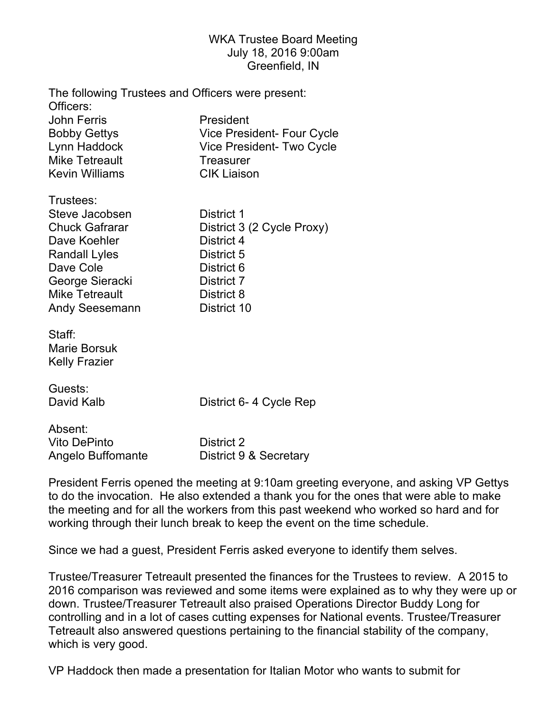## WKA Trustee Board Meeting July 18, 2016 9:00am Greenfield, IN

| Officers:                                                                                                                                                                                | The following Trustees and Officers were present:                                                                             |
|------------------------------------------------------------------------------------------------------------------------------------------------------------------------------------------|-------------------------------------------------------------------------------------------------------------------------------|
| <b>John Ferris</b><br><b>Bobby Gettys</b><br>Lynn Haddock<br><b>Mike Tetreault</b><br><b>Kevin Williams</b>                                                                              | President<br><b>Vice President- Four Cycle</b><br>Vice President- Two Cycle<br><b>Treasurer</b><br><b>CIK Liaison</b>         |
| Trustees:<br>Steve Jacobsen<br><b>Chuck Gafrarar</b><br>Dave Koehler<br><b>Randall Lyles</b><br>Dave Cole<br>George Sieracki<br><b>Mike Tetreault</b><br><b>Andy Seesemann</b><br>Staff: | District 1<br>District 3 (2 Cycle Proxy)<br>District 4<br>District 5<br>District 6<br>District 7<br>District 8<br>District 10 |
| <b>Marie Borsuk</b><br><b>Kelly Frazier</b>                                                                                                                                              |                                                                                                                               |
| Guests:<br>David Kalb                                                                                                                                                                    | District 6- 4 Cycle Rep                                                                                                       |
| Absent:<br><b>Vito DePinto</b>                                                                                                                                                           | District 2                                                                                                                    |

Angelo Buffomante District 9 & Secretary

President Ferris opened the meeting at 9:10am greeting everyone, and asking VP Gettys to do the invocation. He also extended a thank you for the ones that were able to make the meeting and for all the workers from this past weekend who worked so hard and for working through their lunch break to keep the event on the time schedule.

Since we had a guest, President Ferris asked everyone to identify them selves.

Trustee/Treasurer Tetreault presented the finances for the Trustees to review. A 2015 to 2016 comparison was reviewed and some items were explained as to why they were up or down. Trustee/Treasurer Tetreault also praised Operations Director Buddy Long for controlling and in a lot of cases cutting expenses for National events. Trustee/Treasurer Tetreault also answered questions pertaining to the financial stability of the company, which is very good.

VP Haddock then made a presentation for Italian Motor who wants to submit for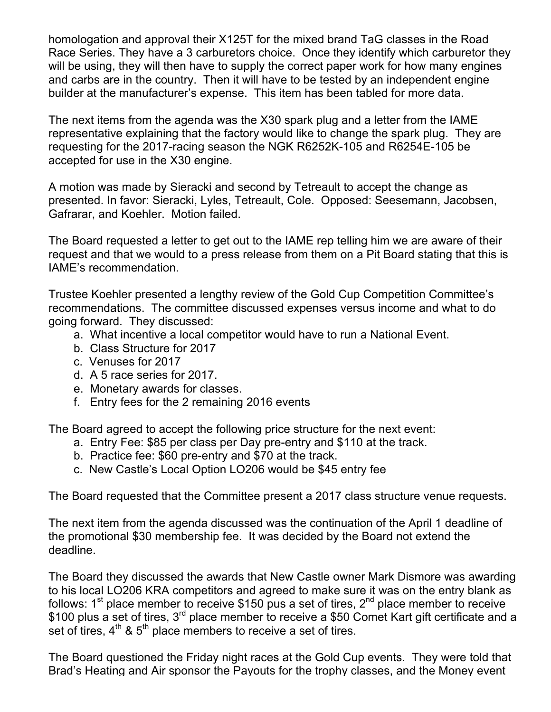homologation and approval their X125T for the mixed brand TaG classes in the Road Race Series. They have a 3 carburetors choice. Once they identify which carburetor they will be using, they will then have to supply the correct paper work for how many engines and carbs are in the country. Then it will have to be tested by an independent engine builder at the manufacturer's expense. This item has been tabled for more data.

The next items from the agenda was the X30 spark plug and a letter from the IAME representative explaining that the factory would like to change the spark plug. They are requesting for the 2017-racing season the NGK R6252K-105 and R6254E-105 be accepted for use in the X30 engine.

A motion was made by Sieracki and second by Tetreault to accept the change as presented. In favor: Sieracki, Lyles, Tetreault, Cole. Opposed: Seesemann, Jacobsen, Gafrarar, and Koehler. Motion failed.

The Board requested a letter to get out to the IAME rep telling him we are aware of their request and that we would to a press release from them on a Pit Board stating that this is IAME's recommendation.

Trustee Koehler presented a lengthy review of the Gold Cup Competition Committee's recommendations. The committee discussed expenses versus income and what to do going forward. They discussed:

- a. What incentive a local competitor would have to run a National Event.
- b. Class Structure for 2017
- c. Venuses for 2017
- d. A 5 race series for 2017.
- e. Monetary awards for classes.
- f. Entry fees for the 2 remaining 2016 events

The Board agreed to accept the following price structure for the next event:

- a. Entry Fee: \$85 per class per Day pre-entry and \$110 at the track.
- b. Practice fee: \$60 pre-entry and \$70 at the track.
- c. New Castle's Local Option LO206 would be \$45 entry fee

The Board requested that the Committee present a 2017 class structure venue requests.

The next item from the agenda discussed was the continuation of the April 1 deadline of the promotional \$30 membership fee. It was decided by the Board not extend the deadline.

The Board they discussed the awards that New Castle owner Mark Dismore was awarding to his local LO206 KRA competitors and agreed to make sure it was on the entry blank as follows:  $1<sup>st</sup>$  place member to receive \$150 pus a set of tires,  $2<sup>nd</sup>$  place member to receive \$100 plus a set of tires, 3<sup>rd</sup> place member to receive a \$50 Comet Kart gift certificate and a set of tires,  $4^{\text{th}}$  &  $5^{\text{th}}$  place members to receive a set of tires.

The Board questioned the Friday night races at the Gold Cup events. They were told that Brad's Heating and Air sponsor the Payouts for the trophy classes, and the Money event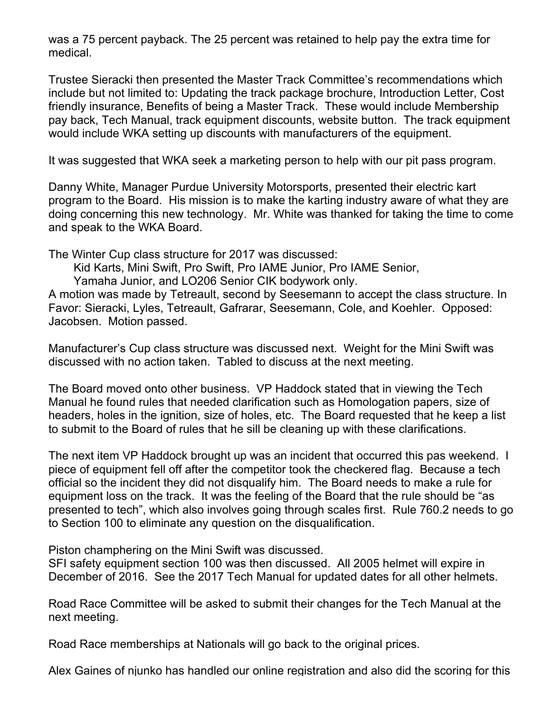was a 75 percent payback. The 25 percent was retained to help pay the extra time for medical.

Trustee Sieracki then presented the Master Track Committee's recommendations which include but not limited to: Updating the track package brochure, Introduction Letter, Cost friendly insurance, Benefits of being a Master Track. These would include Membership pay back, Tech Manual, track equipment discounts, website button. The track equipment would include WKA setting up discounts with manufacturers of the equipment.

It was suggested that WKA seek a marketing person to help with our pit pass program.

Danny White, Manager Purdue University Motorsports, presented their electric kart program to the Board. His mission is to make the karting industry aware of what they are doing concerning this new technology. Mr. White was thanked for taking the time to come and speak to the WKA Board.

The Winter Cup class structure for 2017 was discussed:

Kid Karts, Mini Swift, Pro Swift, Pro IAME Junior, Pro IAME Senior,

Yamaha Junior, and LO206 Senior CIK bodywork only.

A motion was made by Tetreault, second by Seesemann to accept the class structure. In Favor: Sieracki, Lyles, Tetreault, Gafrarar, Seesemann, Cole, and Koehler. Opposed: Jacobsen. Motion passed.

Manufacturer's Cup class structure was discussed next. Weight for the Mini Swift was discussed with no action taken. Tabled to discuss at the next meeting.

The Board moved onto other business. VP Haddock stated that in viewing the Tech Manual he found rules that needed clarification such as Homologation papers, size of headers, holes in the ignition, size of holes, etc. The Board requested that he keep a list to submit to the Board of rules that he sill be cleaning up with these clarifications.

The next item VP Haddock brought up was an incident that occurred this pas weekend. I piece of equipment fell off after the competitor took the checkered flag. Because a tech official so the incident they did not disqualify him. The Board needs to make a rule for equipment loss on the track. It was the feeling of the Board that the rule should be "as presented to tech", which also involves going through scales first. Rule 760.2 needs to go to Section 100 to eliminate any question on the disqualification.

Piston champhering on the Mini Swift was discussed.

SFI safety equipment section 100 was then discussed. All 2005 helmet will expire in December of 2016. See the 2017 Tech Manual for updated dates for all other helmets.

Road Race Committee will be asked to submit their changes for the Tech Manual at the next meeting.

Road Race memberships at Nationals will go back to the original prices.

Alex Gaines of njunko has handled our online registration and also did the scoring for this